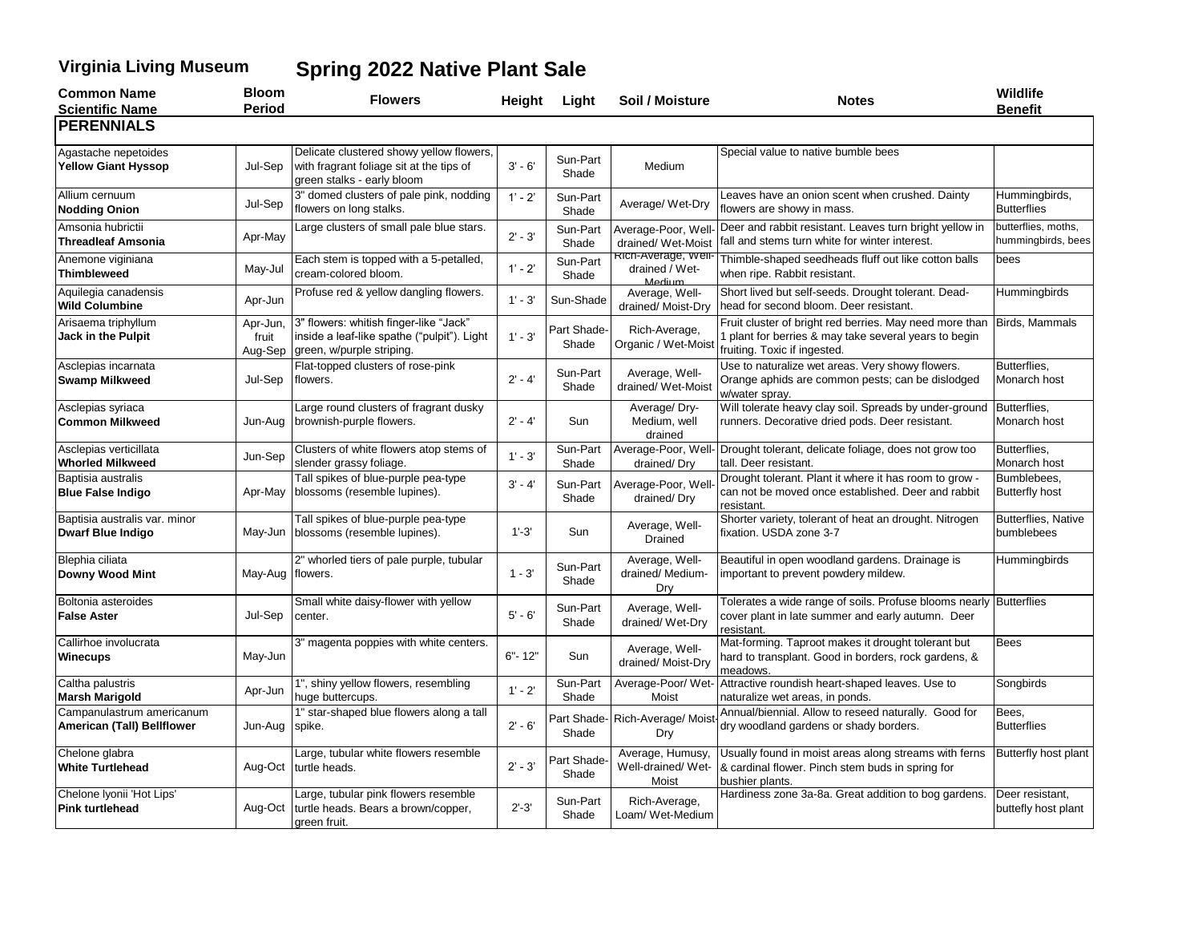## **Virginia Living Museum Spring 2022 Native Plant Sale**

| <b>Common Name</b>                                        | <b>Bloom</b><br><b>Period</b> | <b>Flowers</b>                                                                                                     | Height     | Light                | Soil / Moisture                                | <b>Notes</b>                                                                                                                                     | Wildlife                                  |
|-----------------------------------------------------------|-------------------------------|--------------------------------------------------------------------------------------------------------------------|------------|----------------------|------------------------------------------------|--------------------------------------------------------------------------------------------------------------------------------------------------|-------------------------------------------|
| <b>Scientific Name</b><br><b>PERENNIALS</b>               |                               |                                                                                                                    |            |                      |                                                |                                                                                                                                                  | <b>Benefit</b>                            |
|                                                           |                               |                                                                                                                    |            |                      |                                                |                                                                                                                                                  |                                           |
| Agastache nepetoides<br><b>Yellow Giant Hyssop</b>        | Jul-Sep                       | Delicate clustered showy yellow flowers,<br>with fragrant foliage sit at the tips of<br>green stalks - early bloom | $3' - 6'$  | Sun-Part<br>Shade    | Medium                                         | Special value to native bumble bees                                                                                                              |                                           |
| Allium cernuum<br><b>Nodding Onion</b>                    | Jul-Sep                       | 3" domed clusters of pale pink, nodding<br>flowers on long stalks.                                                 | $1' - 2'$  | Sun-Part<br>Shade    | Average/ Wet-Dry                               | Leaves have an onion scent when crushed. Dainty<br>flowers are showy in mass.                                                                    | Hummingbirds,<br><b>Butterflies</b>       |
| Amsonia hubrictii<br><b>Threadleaf Amsonia</b>            | Apr-May                       | arge clusters of small pale blue stars.                                                                            | $2' - 3'$  | Sun-Part<br>Shade    | Average-Poor, Wel<br>drained/ Wet-Moist        | Deer and rabbit resistant. Leaves turn bright yellow in<br>fall and stems turn white for winter interest.                                        | butterflies, moths,<br>hummingbirds, bees |
| Anemone viginiana<br><b>Thimbleweed</b>                   | May-Jul                       | Each stem is topped with a 5-petalled,<br>cream-colored bloom.                                                     | $1' - 2'$  | Sun-Part<br>Shade    | kich-Average, weil<br>drained / Wet-<br>Medium | Thimble-shaped seedheads fluff out like cotton balls<br>when ripe. Rabbit resistant.                                                             | bees                                      |
| Aquilegia canadensis<br><b>Wild Columbine</b>             | Apr-Jun                       | Profuse red & yellow dangling flowers.                                                                             | $1' - 3'$  | Sun-Shade            | Average, Well-<br>drained/Moist-Dry            | Short lived but self-seeds. Drought tolerant. Dead-<br>head for second bloom. Deer resistant.                                                    | Hummingbirds                              |
| Arisaema triphyllum<br>Jack in the Pulpit                 | Apr-Jun,<br>fruit<br>Aug-Sep  | 3" flowers: whitish finger-like "Jack"<br>inside a leaf-like spathe ("pulpit"). Light<br>green, w/purple striping. | $1' - 3'$  | Part Shade-<br>Shade | Rich-Average,<br>Organic / Wet-Mois            | Fruit cluster of bright red berries. May need more than<br>1 plant for berries & may take several years to begin<br>fruiting. Toxic if ingested. | Birds, Mammals                            |
| Asclepias incarnata<br><b>Swamp Milkweed</b>              | Jul-Sep                       | Flat-topped clusters of rose-pink<br>flowers.                                                                      | $2' - 4'$  | Sun-Part<br>Shade    | Average, Well-<br>drained/ Wet-Moist           | Use to naturalize wet areas. Very showy flowers.<br>Orange aphids are common pests; can be dislodged<br>w/water spray.                           | Butterflies.<br>Monarch host              |
| Asclepias syriaca<br><b>Common Milkweed</b>               | Jun-Aug                       | Large round clusters of fragrant dusky<br>brownish-purple flowers.                                                 | $2' - 4'$  | Sun                  | Average/Dry-<br>Medium, well<br>drained        | Will tolerate heavy clay soil. Spreads by under-ground<br>runners. Decorative dried pods. Deer resistant.                                        | Butterflies,<br>Monarch host              |
| Asclepias verticillata<br><b>Whorled Milkweed</b>         | Jun-Sep                       | Clusters of white flowers atop stems of<br>slender grassy foliage.                                                 | $1' - 3'$  | Sun-Part<br>Shade    | Average-Poor, Well<br>drained/Dry              | Drought tolerant, delicate foliage, does not grow too<br>tall. Deer resistant.                                                                   | Butterflies,<br>Monarch host              |
| Baptisia australis<br><b>Blue False Indigo</b>            | Apr-May                       | Tall spikes of blue-purple pea-type<br>blossoms (resemble lupines).                                                | $3' - 4'$  | Sun-Part<br>Shade    | Average-Poor, Wel<br>drained/Dry               | Drought tolerant. Plant it where it has room to grow -<br>can not be moved once established. Deer and rabbit<br>resistant.                       | Bumblebees,<br><b>Butterfly host</b>      |
| Baptisia australis var. minor<br><b>Dwarf Blue Indigo</b> |                               | Tall spikes of blue-purple pea-type<br>May-Jun blossoms (resemble lupines).                                        | $1' - 3'$  | Sun                  | Average, Well-<br>Drained                      | Shorter variety, tolerant of heat an drought. Nitrogen<br>fixation. USDA zone 3-7                                                                | Butterflies, Native<br>bumblebees         |
| Blephia ciliata<br>Downy Wood Mint                        | May-Aug flowers.              | 2" whorled tiers of pale purple, tubular                                                                           | $1 - 3'$   | Sun-Part<br>Shade    | Average, Well-<br>drained/ Medium-<br>Drv      | Beautiful in open woodland gardens. Drainage is<br>important to prevent powdery mildew.                                                          | Hummingbirds                              |
| Boltonia asteroides<br><b>False Aster</b>                 | Jul-Sep                       | Small white daisy-flower with yellow<br>center.                                                                    | $5' - 6'$  | Sun-Part<br>Shade    | Average, Well-<br>drained/ Wet-Dry             | Tolerates a wide range of soils. Profuse blooms nearly Butterflies<br>cover plant in late summer and early autumn. Deer<br>resistant.            |                                           |
| Callirhoe involucrata<br><b>Winecups</b>                  | May-Jun                       | 3" magenta poppies with white centers.                                                                             | $6" - 12"$ | Sun                  | Average, Well-<br>drained/ Moist-Dry           | Mat-forming. Taproot makes it drought tolerant but<br>hard to transplant. Good in borders, rock gardens, &<br>meadows.                           | <b>Bees</b>                               |
| Caltha palustris<br>Marsh Marigold                        | Apr-Jun                       | 1", shiny yellow flowers, resembling<br>huge buttercups.                                                           | $1' - 2'$  | Sun-Part<br>Shade    | Average-Poor/Wet<br>Moist                      | Attractive roundish heart-shaped leaves. Use to<br>naturalize wet areas, in ponds.                                                               | Songbirds                                 |
| Campanulastrum americanum<br>American (Tall) Bellflower   | Jun-Aug                       | 1" star-shaped blue flowers along a tall<br>spike.                                                                 | $2' - 6'$  | Part Shade-<br>Shade | Rich-Average/Mois<br>Dry                       | Annual/biennial. Allow to reseed naturally. Good for<br>dry woodland gardens or shady borders.                                                   | Bees,<br><b>Butterflies</b>               |
| Chelone glabra<br><b>White Turtlehead</b>                 | Aug-Oct                       | Large, tubular white flowers resemble<br>turtle heads.                                                             | $2' - 3'$  | Part Shade-<br>Shade | Average, Humusy,<br>Well-drained/Wet-<br>Moist | Usually found in moist areas along streams with ferns<br>& cardinal flower. Pinch stem buds in spring for<br>bushier plants.                     | Butterfly host plant                      |
| Chelone Iyonii 'Hot Lips'<br><b>Pink turtlehead</b>       | Aug-Oct                       | arge, tubular pink flowers resemble<br>turtle heads. Bears a brown/copper,<br>green fruit.                         | $2' - 3'$  | Sun-Part<br>Shade    | Rich-Average,<br>Loam/ Wet-Medium              | Hardiness zone 3a-8a. Great addition to bog gardens.                                                                                             | Deer resistant,<br>buttefly host plant    |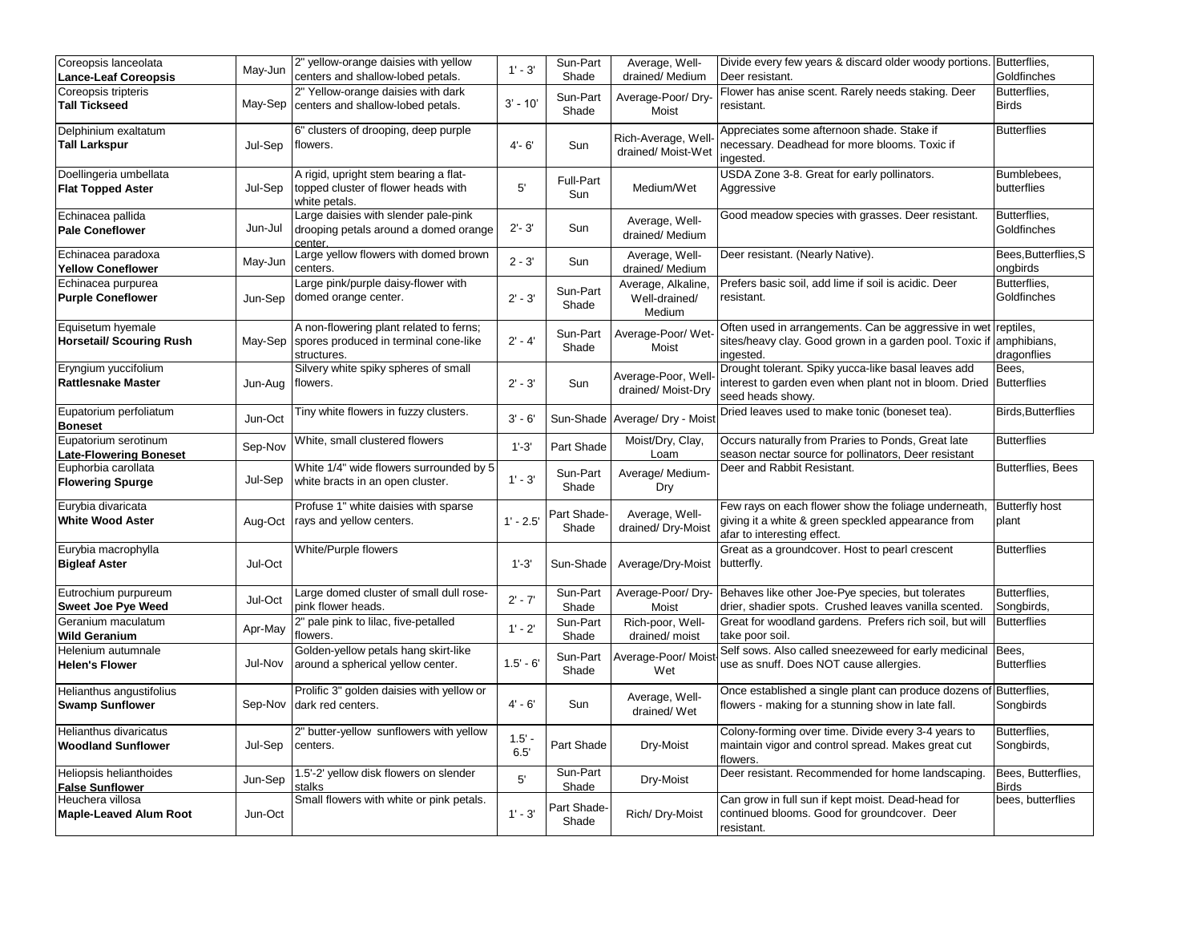| Coreopsis lanceolata                                  | May-Jun | 2" yellow-orange daisies with yellow                                                            | $1' - 3'$        | Sun-Part                | Average, Well-                                | Divide every few years & discard older woody portions.                                                                                         | Butterflies,                       |
|-------------------------------------------------------|---------|-------------------------------------------------------------------------------------------------|------------------|-------------------------|-----------------------------------------------|------------------------------------------------------------------------------------------------------------------------------------------------|------------------------------------|
| <b>Lance-Leaf Coreopsis</b>                           |         | centers and shallow-lobed petals.                                                               |                  | Shade                   | drained/ Medium                               | Deer resistant.                                                                                                                                | Goldfinches                        |
| Coreopsis tripteris<br><b>Tall Tickseed</b>           | May-Sep | 2" Yellow-orange daisies with dark<br>centers and shallow-lobed petals.                         | $3' - 10'$       | Sun-Part<br>Shade       | Average-Poor/Dry-<br>Moist                    | Flower has anise scent. Rarely needs staking. Deer<br>resistant.                                                                               | Butterflies.<br><b>Birds</b>       |
| Delphinium exaltatum<br><b>Tall Larkspur</b>          | Jul-Sep | 6" clusters of drooping, deep purple<br>flowers.                                                | $4 - 6'$         | Sun                     | Rich-Average, Well<br>drained/ Moist-Wet      | Appreciates some afternoon shade. Stake if<br>necessary. Deadhead for more blooms. Toxic if<br>ingested.                                       | <b>Butterflies</b>                 |
| Doellingeria umbellata<br><b>Flat Topped Aster</b>    | Jul-Sep | A rigid, upright stem bearing a flat-<br>topped cluster of flower heads with<br>white petals.   | 5'               | <b>Full-Part</b><br>Sun | Medium/Wet                                    | USDA Zone 3-8. Great for early pollinators.<br>Aggressive                                                                                      | Bumblebees,<br>butterflies         |
| Echinacea pallida<br><b>Pale Coneflower</b>           | Jun-Jul | Large daisies with slender pale-pink<br>drooping petals around a domed orange<br>center.        | $2' - 3'$        | Sun                     | Average, Well-<br>drained/ Medium             | Good meadow species with grasses. Deer resistant.                                                                                              | Butterflies,<br>Goldfinches        |
| Echinacea paradoxa<br><b>Yellow Coneflower</b>        | May-Jun | Large yellow flowers with domed brown<br>centers.                                               | $2 - 3'$         | Sun                     | Average, Well-<br>drained/Medium              | Deer resistant. (Nearly Native).                                                                                                               | Bees, Butterflies, S<br>ongbirds   |
| Echinacea purpurea<br><b>Purple Coneflower</b>        | Jun-Sep | Large pink/purple daisy-flower with<br>domed orange center.                                     | $2' - 3'$        | Sun-Part<br>Shade       | Average, Alkaline,<br>Well-drained/<br>Medium | Prefers basic soil, add lime if soil is acidic. Deer<br>resistant.                                                                             | Butterflies,<br>Goldfinches        |
| Equisetum hyemale<br><b>Horsetail/ Scouring Rush</b>  | May-Sep | A non-flowering plant related to ferns;<br>spores produced in terminal cone-like<br>structures. | $2' - 4'$        | Sun-Part<br>Shade       | Average-Poor/ Wet<br>Moist                    | Often used in arrangements. Can be aggressive in wet<br>sites/heavy clay. Good grown in a garden pool. Toxic if amphibians,<br>ingested.       | reptiles.<br>dragonflies           |
| Eryngium yuccifolium<br><b>Rattlesnake Master</b>     | Jun-Aug | Silvery white spiky spheres of small<br>flowers.                                                | $2' - 3'$        | Sun                     | Average-Poor, Wel<br>drained/Moist-Dry        | Drought tolerant. Spiky yucca-like basal leaves add<br>interest to garden even when plant not in bloom. Dried Butterflies<br>seed heads showy. | Bees.                              |
| Eupatorium perfoliatum<br><b>Boneset</b>              | Jun-Oct | Tiny white flowers in fuzzy clusters.                                                           | $3' - 6'$        | Sun-Shade               | Average/ Dry - Mois                           | Dried leaves used to make tonic (boneset tea).                                                                                                 | <b>Birds, Butterflies</b>          |
| Eupatorium serotinum<br><b>Late-Flowering Boneset</b> | Sep-Nov | White, small clustered flowers                                                                  | $1'-3'$          | Part Shade              | Moist/Dry, Clay,<br>Loam                      | Occurs naturally from Praries to Ponds, Great late<br>season nectar source for pollinators, Deer resistant                                     | <b>Butterflies</b>                 |
| Euphorbia carollata<br><b>Flowering Spurge</b>        | Jul-Sep | White 1/4" wide flowers surrounded by 5<br>white bracts in an open cluster.                     | $1' - 3'$        | Sun-Part<br>Shade       | Average/Medium-<br>Dry                        | Deer and Rabbit Resistant.                                                                                                                     | Butterflies, Bees                  |
| Eurybia divaricata<br><b>White Wood Aster</b>         | Aug-Oct | Profuse 1" white daisies with sparse<br>rays and yellow centers.                                | $1' - 2.5'$      | Part Shade-<br>Shade    | Average, Well-<br>drained/Dry-Moist           | Few rays on each flower show the foliage underneath,<br>giving it a white & green speckled appearance from<br>afar to interesting effect.      | <b>Butterfly host</b><br>plant     |
| Eurybia macrophylla<br><b>Bigleaf Aster</b>           | Jul-Oct | White/Purple flowers                                                                            | $1'-3'$          | Sun-Shade               | Average/Dry-Moist                             | Great as a groundcover. Host to pearl crescent<br>butterfly.                                                                                   | <b>Butterflies</b>                 |
| Eutrochium purpureum<br><b>Sweet Joe Pye Weed</b>     | Jul-Oct | Large domed cluster of small dull rose-<br>pink flower heads.                                   | $2' - 7'$        | Sun-Part<br>Shade       | Average-Poor/Dry<br>Moist                     | Behaves like other Joe-Pye species, but tolerates<br>drier, shadier spots. Crushed leaves vanilla scented.                                     | Butterflies,<br>Songbirds,         |
| Geranium maculatum<br>Wild Geranium                   | Apr-May | 2" pale pink to lilac, five-petalled<br>flowers.                                                | $1' - 2'$        | Sun-Part<br>Shade       | Rich-poor, Well-<br>drained/ moist            | Great for woodland gardens. Prefers rich soil, but will<br>take poor soil.                                                                     | <b>Butterflies</b>                 |
| Helenium autumnale<br><b>Helen's Flower</b>           | Jul-Nov | Golden-yellow petals hang skirt-like<br>around a spherical yellow center.                       | $1.5' - 6'$      | Sun-Part<br>Shade       | Average-Poor/ Mois<br>Wet                     | Self sows. Also called sneezeweed for early medicinal Bees,<br>use as snuff. Does NOT cause allergies.                                         | <b>Butterflies</b>                 |
| Helianthus angustifolius<br><b>Swamp Sunflower</b>    | Sep-Nov | Prolific 3" golden daisies with yellow or<br>dark red centers.                                  | $4' - 6'$        | Sun                     | Average, Well-<br>drained/Wet                 | Once established a single plant can produce dozens of Butterflies,<br>flowers - making for a stunning show in late fall.                       | Songbirds                          |
| Helianthus divaricatus<br><b>Woodland Sunflower</b>   | Jul-Sep | 2" butter-yellow sunflowers with yellow<br>centers.                                             | $1.5' -$<br>6.5' | Part Shade              | Dry-Moist                                     | Colony-forming over time. Divide every 3-4 years to<br>maintain vigor and control spread. Makes great cut<br>flowers.                          | Butterflies,<br>Songbirds,         |
| Heliopsis helianthoides<br><b>False Sunflower</b>     | Jun-Sep | 1.5'-2' yellow disk flowers on slender<br>stalks                                                | 5'               | Sun-Part<br>Shade       | Dry-Moist                                     | Deer resistant. Recommended for home landscaping.                                                                                              | Bees, Butterflies,<br><b>Birds</b> |
| Heuchera villosa<br><b>Maple-Leaved Alum Root</b>     | Jun-Oct | Small flowers with white or pink petals.                                                        | $1' - 3'$        | Part Shade-<br>Shade    | Rich/ Dry-Moist                               | Can grow in full sun if kept moist. Dead-head for<br>continued blooms. Good for groundcover. Deer<br>resistant.                                | bees, butterflies                  |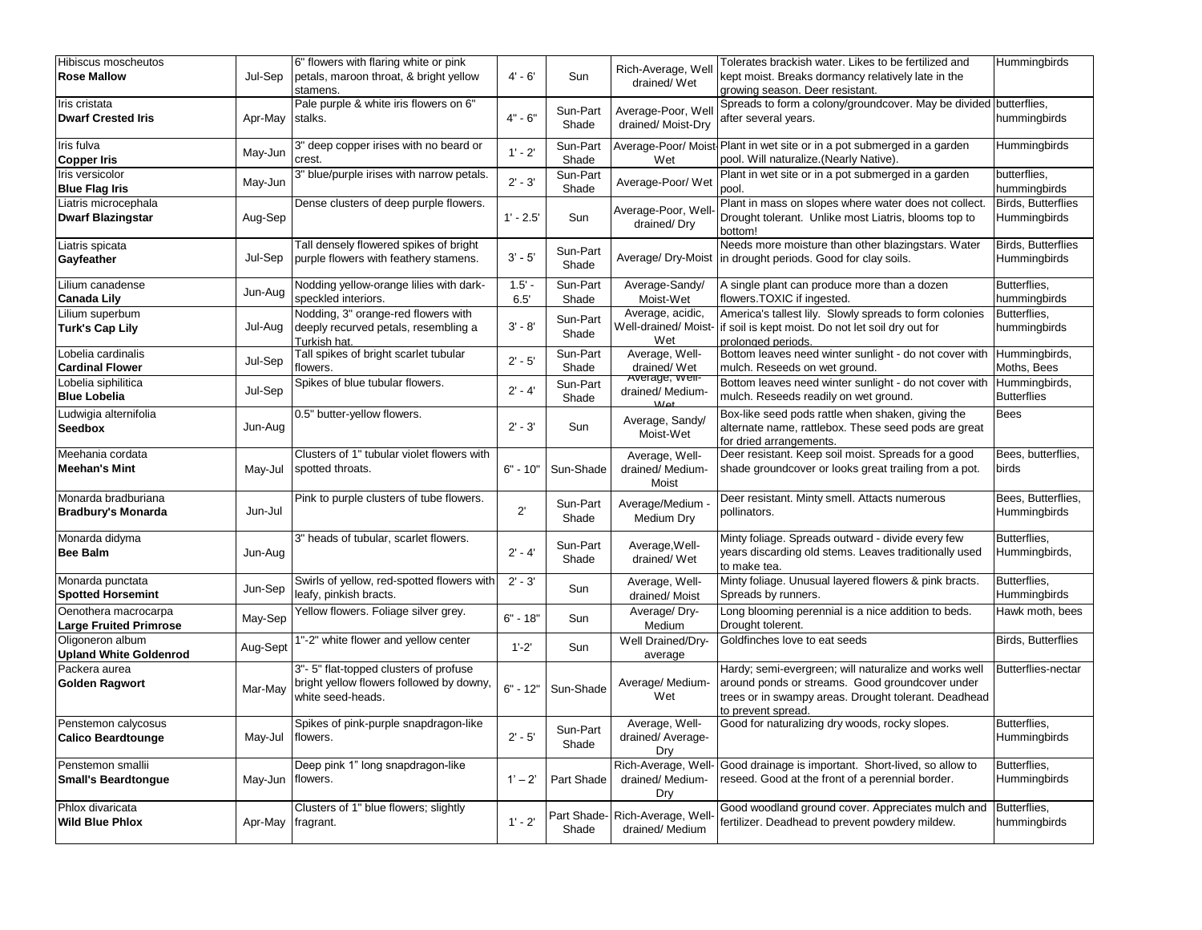| Hibiscus moscheutos<br><b>Rose Mallow</b>             | Jul-Sep  | 6" flowers with flaring white or pink<br>petals, maroon throat, & bright yellow<br>stamens.            | $4' - 6'$        | Sun                  | Rich-Average, Well<br>drained/Wet               | Tolerates brackish water. Likes to be fertilized and<br>kept moist. Breaks dormancy relatively late in the<br>growing season. Deer resistant.                                          | Hummingbirds                              |
|-------------------------------------------------------|----------|--------------------------------------------------------------------------------------------------------|------------------|----------------------|-------------------------------------------------|----------------------------------------------------------------------------------------------------------------------------------------------------------------------------------------|-------------------------------------------|
| Iris cristata<br><b>Dwarf Crested Iris</b>            | Apr-May  | Pale purple & white iris flowers on 6"<br>stalks.                                                      | $4" - 6"$        | Sun-Part<br>Shade    | Average-Poor, Wel<br>drained/Moist-Dry          | Spreads to form a colony/groundcover. May be divided butterflies,<br>after several years.                                                                                              | hummingbirds                              |
| Iris fulva<br><b>Copper Iris</b>                      | May-Jun  | 3" deep copper irises with no beard or<br>crest.                                                       | $1' - 2'$        | Sun-Part<br>Shade    | Wet                                             | Average-Poor/ Moist-Plant in wet site or in a pot submerged in a garden<br>pool. Will naturalize. (Nearly Native).                                                                     | Hummingbirds                              |
| Iris versicolor<br><b>Blue Flag Iris</b>              | May-Jun  | 3" blue/purple irises with narrow petals.                                                              | $2' - 3'$        | Sun-Part<br>Shade    | Average-Poor/Wet                                | Plant in wet site or in a pot submerged in a garden<br>pool                                                                                                                            | butterflies,<br>hummingbirds              |
| Liatris microcephala<br><b>Dwarf Blazingstar</b>      | Aug-Sep  | Dense clusters of deep purple flowers.                                                                 | $1' - 2.5'$      | Sun                  | Average-Poor, Well<br>drained/Dry               | Plant in mass on slopes where water does not collect.<br>Drought tolerant. Unlike most Liatris, blooms top to<br>bottom!                                                               | <b>Birds, Butterflies</b><br>Hummingbirds |
| Liatris spicata<br>Gayfeather                         | Jul-Sep  | Tall densely flowered spikes of bright<br>purple flowers with feathery stamens.                        | $3' - 5'$        | Sun-Part<br>Shade    |                                                 | Needs more moisture than other blazingstars. Water<br>Average/ Dry-Moist in drought periods. Good for clay soils.                                                                      | <b>Birds, Butterflies</b><br>Hummingbirds |
| Lilium canadense<br><b>Canada Lily</b>                | Jun-Aug  | Nodding yellow-orange lilies with dark-<br>speckled interiors.                                         | $1.5' -$<br>6.5' | Sun-Part<br>Shade    | Average-Sandy/<br>Moist-Wet                     | A single plant can produce more than a dozen<br>flowers. TOXIC if ingested.                                                                                                            | Butterflies,<br>hummingbirds              |
| Lilium superbum<br>Turk's Cap Lily                    | Jul-Aug  | Nodding, 3" orange-red flowers with<br>deeply recurved petals, resembling a<br>Turkish hat.            | $3' - 8'$        | Sun-Part<br>Shade    | Average, acidic,<br>Well-drained/ Moist-<br>Wet | America's tallest lily. Slowly spreads to form colonies<br>if soil is kept moist. Do not let soil dry out for<br>prolonged periods.                                                    | Butterflies,<br>hummingbirds              |
| Lobelia cardinalis<br><b>Cardinal Flower</b>          | Jul-Sep  | Tall spikes of bright scarlet tubular<br>flowers.                                                      | $2' - 5'$        | Sun-Part<br>Shade    | Average, Well-<br>drained/Wet                   | Bottom leaves need winter sunlight - do not cover with<br>mulch. Reseeds on wet ground.                                                                                                | Hummingbirds,<br>Moths, Bees              |
| Lobelia siphilitica<br><b>Blue Lobelia</b>            | Jul-Sep  | Spikes of blue tubular flowers.                                                                        | $2' - 4'$        | Sun-Part<br>Shade    | Average, well-<br>drained/ Medium-<br>111.      | Bottom leaves need winter sunlight - do not cover with<br>mulch. Reseeds readily on wet ground.                                                                                        | Hummingbirds,<br><b>Butterflies</b>       |
| Ludwigia alternifolia<br><b>Seedbox</b>               | Jun-Aug  | 0.5" butter-yellow flowers.                                                                            | $2' - 3'$        | Sun                  | Average, Sandy/<br>Moist-Wet                    | Box-like seed pods rattle when shaken, giving the<br>alternate name, rattlebox. These seed pods are great<br>for dried arrangements.                                                   | <b>Bees</b>                               |
| Meehania cordata<br><b>Meehan's Mint</b>              | May-Jul  | Clusters of 1" tubular violet flowers with<br>spotted throats.                                         | $6" - 10"$       | Sun-Shade            | Average, Well-<br>drained/ Medium-<br>Moist     | Deer resistant. Keep soil moist. Spreads for a good<br>shade groundcover or looks great trailing from a pot.                                                                           | Bees, butterflies,<br>birds               |
| Monarda bradburiana<br><b>Bradbury's Monarda</b>      | Jun-Jul  | Pink to purple clusters of tube flowers.                                                               | $2^{\prime}$     | Sun-Part<br>Shade    | Average/Medium -<br>Medium Dry                  | Deer resistant. Minty smell. Attacts numerous<br>pollinators.                                                                                                                          | Bees, Butterflies,<br>Hummingbirds        |
| Monarda didyma<br><b>Bee Balm</b>                     | Jun-Aug  | 3" heads of tubular, scarlet flowers.                                                                  | $2' - 4'$        | Sun-Part<br>Shade    | Average, Well-<br>drained/Wet                   | Minty foliage. Spreads outward - divide every few<br>years discarding old stems. Leaves traditionally used<br>to make tea.                                                             | Butterflies,<br>Hummingbirds,             |
| Monarda punctata<br><b>Spotted Horsemint</b>          | Jun-Sep  | Swirls of yellow, red-spotted flowers with<br>leafy, pinkish bracts.                                   | $2' - 3'$        | Sun                  | Average, Well-<br>drained/ Moist                | Minty foliage. Unusual layered flowers & pink bracts.<br>Spreads by runners.                                                                                                           | Butterflies,<br>Hummingbirds              |
| Oenothera macrocarpa<br><b>Large Fruited Primrose</b> | May-Sep  | Yellow flowers. Foliage silver grey.                                                                   | $6" - 18"$       | Sun                  | Average/Dry-<br>Medium                          | Long blooming perennial is a nice addition to beds.<br>Drought tolerent.                                                                                                               | Hawk moth, bees                           |
| Oligoneron album<br><b>Upland White Goldenrod</b>     | Aug-Sept | 1"-2" white flower and yellow center                                                                   | $1'-2'$          | Sun                  | Well Drained/Dry-<br>average                    | Goldfinches love to eat seeds                                                                                                                                                          | Birds, Butterflies                        |
| Packera aurea<br>Golden Ragwort                       | Mar-May  | 3"-5" flat-topped clusters of profuse<br>bright yellow flowers followed by downy,<br>white seed-heads. | $6" - 12"$       | Sun-Shade            | Average/ Medium-<br>Wet                         | Hardy; semi-evergreen; will naturalize and works well<br>around ponds or streams. Good groundcover under<br>trees or in swampy areas. Drought tolerant. Deadhead<br>to prevent spread. | <b>Butterflies-nectar</b>                 |
| Penstemon calycosus<br><b>Calico Beardtounge</b>      | May-Jul  | Spikes of pink-purple snapdragon-like<br>flowers.                                                      | $2' - 5'$        | Sun-Part<br>Shade    | Average, Well-<br>drained/ Average-<br>Dry      | Good for naturalizing dry woods, rocky slopes.                                                                                                                                         | Butterflies,<br>Hummingbirds              |
| Penstemon smallii<br><b>Small's Beardtongue</b>       | May-Jun  | Deep pink 1" long snapdragon-like<br>flowers.                                                          | $1' - 2'$        | Part Shade           | Rich-Average, Well<br>drained/ Medium-<br>Dry   | Good drainage is important. Short-lived, so allow to<br>reseed. Good at the front of a perennial border.                                                                               | Butterflies,<br>Hummingbirds              |
| Phlox divaricata<br><b>Wild Blue Phlox</b>            | Apr-May  | Clusters of 1" blue flowers; slightly<br>fragrant.                                                     | $1' - 2'$        | Part Shade-<br>Shade | Rich-Average, Well<br>drained/Medium            | Good woodland ground cover. Appreciates mulch and<br>fertilizer. Deadhead to prevent powdery mildew.                                                                                   | Butterflies,<br>hummingbirds              |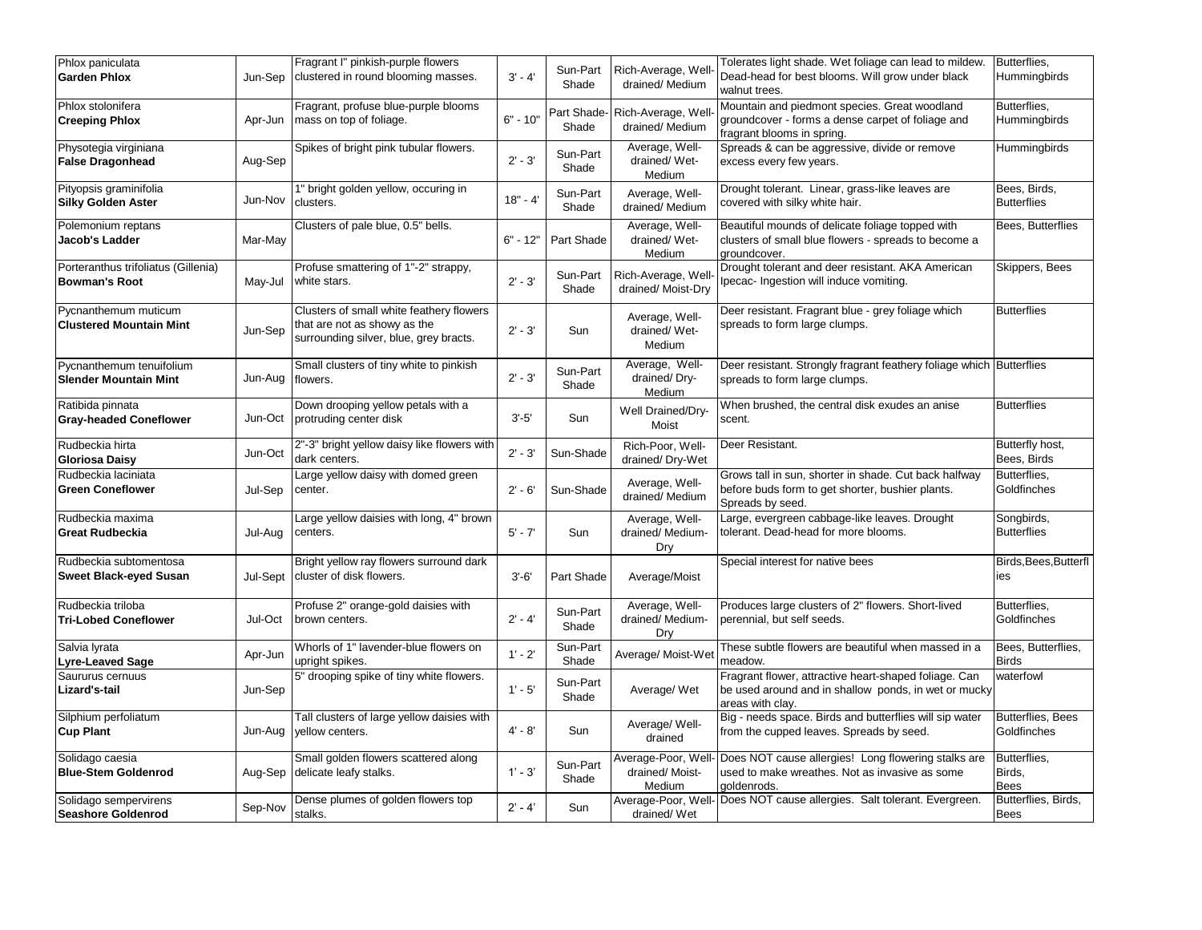| Phlox paniculata<br><b>Garden Phlox</b>                     | Jun-Sep  | Fragrant I" pinkish-purple flowers<br>clustered in round blooming masses.                                          | $3' - 4'$  | Sun-Part<br>Shade    | Rich-Average, Well<br>drained/ Medium           | Tolerates light shade. Wet foliage can lead to mildew.<br>Dead-head for best blooms. Will grow under black<br>walnut trees.       | Butterflies,<br>Hummingbirds            |
|-------------------------------------------------------------|----------|--------------------------------------------------------------------------------------------------------------------|------------|----------------------|-------------------------------------------------|-----------------------------------------------------------------------------------------------------------------------------------|-----------------------------------------|
| Phlox stolonifera<br><b>Creeping Phlox</b>                  | Apr-Jun  | Fragrant, profuse blue-purple blooms<br>mass on top of foliage.                                                    | $6" - 10"$ | Part Shade-<br>Shade | Rich-Average, Well<br>drained/Medium            | Mountain and piedmont species. Great woodland<br>groundcover - forms a dense carpet of foliage and<br>fragrant blooms in spring.  | Butterflies,<br>Hummingbirds            |
| Physotegia virginiana<br><b>False Dragonhead</b>            | Aug-Sep  | Spikes of bright pink tubular flowers.                                                                             | $2' - 3'$  | Sun-Part<br>Shade    | Average, Well-<br>drained/Wet-<br>Medium        | Spreads & can be aggressive, divide or remove<br>excess every few years.                                                          | Hummingbirds                            |
| Pityopsis graminifolia<br><b>Silky Golden Aster</b>         | Jun-Nov  | 1" bright golden yellow, occuring in<br>clusters.                                                                  | $18" - 4'$ | Sun-Part<br>Shade    | Average, Well-<br>drained/Medium                | Drought tolerant. Linear, grass-like leaves are<br>covered with silky white hair.                                                 | Bees, Birds,<br><b>Butterflies</b>      |
| Polemonium reptans<br><b>Jacob's Ladder</b>                 | Mar-May  | Clusters of pale blue, 0.5" bells.                                                                                 | $6" - 12"$ | Part Shade           | Average, Well-<br>drained/Wet-<br>Medium        | Beautiful mounds of delicate foliage topped with<br>clusters of small blue flowers - spreads to become a<br>groundcover.          | Bees, Butterflies                       |
| Porteranthus trifoliatus (Gillenia)<br><b>Bowman's Root</b> | May-Jul  | Profuse smattering of 1"-2" strappy,<br>white stars.                                                               | $2' - 3'$  | Sun-Part<br>Shade    | Rich-Average, Well<br>drained/Moist-Dry         | Drought tolerant and deer resistant. AKA American<br>Ipecac- Ingestion will induce vomiting.                                      | Skippers, Bees                          |
| Pycnanthemum muticum<br><b>Clustered Mountain Mint</b>      | Jun-Sep  | Clusters of small white feathery flowers<br>that are not as showy as the<br>surrounding silver, blue, grey bracts. | $2' - 3'$  | Sun                  | Average, Well-<br>drained/Wet-<br>Medium        | Deer resistant. Fragrant blue - grey foliage which<br>spreads to form large clumps.                                               | <b>Butterflies</b>                      |
| Pycnanthemum tenuifolium<br><b>Slender Mountain Mint</b>    | Jun-Aug  | Small clusters of tiny white to pinkish<br>flowers.                                                                | $2' - 3'$  | Sun-Part<br>Shade    | Average, Well-<br>drained/Dry-<br>Medium        | Deer resistant. Strongly fragrant feathery foliage which Butterflies<br>spreads to form large clumps.                             |                                         |
| Ratibida pinnata<br><b>Gray-headed Coneflower</b>           | Jun-Oct  | Down drooping yellow petals with a<br>protruding center disk                                                       | $3' - 5'$  | Sun                  | Well Drained/Dry-<br>Moist                      | When brushed, the central disk exudes an anise<br>scent.                                                                          | <b>Butterflies</b>                      |
| Rudbeckia hirta<br><b>Gloriosa Daisy</b>                    | Jun-Oct  | 2"-3" bright yellow daisy like flowers with<br>dark centers.                                                       | $2' - 3'$  | Sun-Shade            | Rich-Poor, Well-<br>drained/Dry-Wet             | Deer Resistant.                                                                                                                   | Butterfly host,<br>Bees, Birds          |
| Rudbeckia laciniata<br><b>Green Coneflower</b>              | Jul-Sep  | Large yellow daisy with domed green<br>center.                                                                     | $2' - 6'$  | Sun-Shade            | Average, Well-<br>drained/Medium                | Grows tall in sun, shorter in shade. Cut back halfway<br>before buds form to get shorter, bushier plants.<br>Spreads by seed.     | Butterflies,<br>Goldfinches             |
| Rudbeckia maxima<br><b>Great Rudbeckia</b>                  | Jul-Aug  | Large yellow daisies with long, 4" brown<br>centers.                                                               | $5' - 7'$  | Sun                  | Average, Well-<br>drained/ Medium-<br>Dry       | Large, evergreen cabbage-like leaves. Drought<br>tolerant. Dead-head for more blooms.                                             | Songbirds,<br><b>Butterflies</b>        |
| Rudbeckia subtomentosa<br><b>Sweet Black-eyed Susan</b>     | Jul-Sept | Bright yellow ray flowers surround dark<br>cluster of disk flowers.                                                | $3'-6'$    | Part Shade           | Average/Moist                                   | Special interest for native bees                                                                                                  | Birds, Bees, Butterfl<br>ies            |
| Rudbeckia triloba<br><b>Tri-Lobed Coneflower</b>            | Jul-Oct  | Profuse 2" orange-gold daisies with<br>brown centers.                                                              | $2' - 4'$  | Sun-Part<br>Shade    | Average, Well-<br>drained/ Medium-<br>Dry       | Produces large clusters of 2" flowers. Short-lived<br>perennial, but self seeds.                                                  | Butterflies,<br>Goldfinches             |
| Salvia lyrata<br>Lyre-Leaved Sage                           | Apr-Jun  | Whorls of 1" lavender-blue flowers on<br>upright spikes.                                                           | $1' - 2'$  | Sun-Part<br>Shade    | Average/ Moist-Wet                              | These subtle flowers are beautiful when massed in a<br>meadow.                                                                    | Bees, Butterflies,<br><b>Birds</b>      |
| Saururus cernuus<br>Lizard's-tail                           | Jun-Sep  | 5" drooping spike of tiny white flowers.                                                                           | $1' - 5'$  | Sun-Part<br>Shade    | Average/ Wet                                    | Fragrant flower, attractive heart-shaped foliage. Can<br>be used around and in shallow ponds, in wet or mucky<br>areas with clay. | waterfowl                               |
| Silphium perfoliatum<br><b>Cup Plant</b>                    | Jun-Aug  | Tall clusters of large yellow daisies with<br>vellow centers.                                                      | $4' - 8'$  | Sun                  | Average/ Well-<br>drained                       | Big - needs space. Birds and butterflies will sip water<br>from the cupped leaves. Spreads by seed.                               | <b>Butterflies, Bees</b><br>Goldfinches |
| Solidago caesia<br><b>Blue-Stem Goldenrod</b>               | Aug-Sep  | Small golden flowers scattered along<br>delicate leafy stalks.                                                     | $1' - 3'$  | Sun-Part<br>Shade    | Average-Poor, Well-<br>drained/Moist-<br>Medium | Does NOT cause allergies! Long flowering stalks are<br>used to make wreathes. Not as invasive as some<br>goldenrods.              | Butterflies,<br>Birds,<br><b>Bees</b>   |
| Solidago sempervirens<br><b>Seashore Goldenrod</b>          | Sep-Nov  | Dense plumes of golden flowers top<br>stalks.                                                                      | $2' - 4'$  | Sun                  | drained/Wet                                     | Average-Poor, Well- Does NOT cause allergies. Salt tolerant. Evergreen.                                                           | Butterflies, Birds,<br><b>Bees</b>      |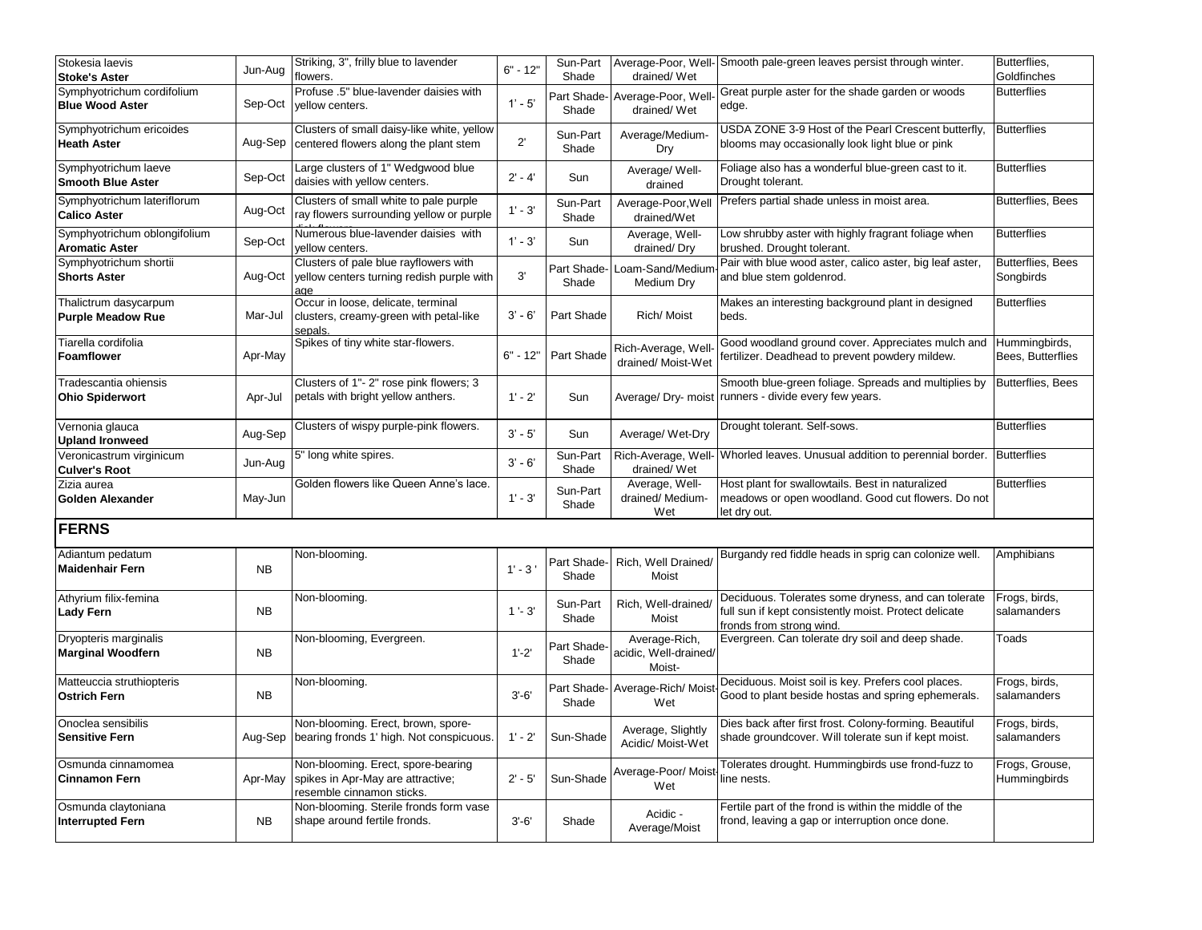| Stokesia laevis<br><b>Stoke's Aster</b>               | Jun-Aug   | Striking, 3", frilly blue to lavender<br>flowers.                                                    | $6" - 12"$   | Sun-Part<br>Shade    | drained/Wet                                      | Average-Poor, Well- Smooth pale-green leaves persist through winter.                                                                     | Butterflies,<br>Goldfinches           |
|-------------------------------------------------------|-----------|------------------------------------------------------------------------------------------------------|--------------|----------------------|--------------------------------------------------|------------------------------------------------------------------------------------------------------------------------------------------|---------------------------------------|
| Symphyotrichum cordifolium<br><b>Blue Wood Aster</b>  | Sep-Oct   | Profuse .5" blue-lavender daisies with<br>yellow centers.                                            | $1' - 5'$    | Part Shade-<br>Shade | Average-Poor, Well-<br>drained/Wet               | Great purple aster for the shade garden or woods<br>edge.                                                                                | <b>Butterflies</b>                    |
| Symphyotrichum ericoides<br><b>Heath Aster</b>        | Aug-Sep   | Clusters of small daisy-like white, yellow<br>centered flowers along the plant stem                  | $2^{\prime}$ | Sun-Part<br>Shade    | Average/Medium-<br>Dry                           | USDA ZONE 3-9 Host of the Pearl Crescent butterfly,<br>blooms may occasionally look light blue or pink                                   | <b>Butterflies</b>                    |
| Symphyotrichum laeve<br><b>Smooth Blue Aster</b>      | Sep-Oct   | Large clusters of 1" Wedgwood blue<br>daisies with yellow centers.                                   | $2' - 4'$    | Sun                  | Average/Well-<br>drained                         | Foliage also has a wonderful blue-green cast to it.<br>Drought tolerant.                                                                 | <b>Butterflies</b>                    |
| Symphyotrichum lateriflorum<br><b>Calico Aster</b>    | Aug-Oct   | Clusters of small white to pale purple<br>ray flowers surrounding yellow or purple                   | $1' - 3'$    | Sun-Part<br>Shade    | Average-Poor, Well<br>drained/Wet                | Prefers partial shade unless in moist area.                                                                                              | <b>Butterflies, Bees</b>              |
| Symphyotrichum oblongifolium<br><b>Aromatic Aster</b> | Sep-Oct   | Numerous blue-lavender daisies with<br>vellow centers.                                               | $1' - 3'$    | Sun                  | Average, Well-<br>drained/Dry                    | Low shrubby aster with highly fragrant foliage when<br>brushed. Drought tolerant.                                                        | <b>Butterflies</b>                    |
| Symphyotrichum shortii<br><b>Shorts Aster</b>         | Aug-Oct   | Clusters of pale blue rayflowers with<br>yellow centers turning redish purple with<br>age            | 3'           | Part Shade-<br>Shade | Loam-Sand/Medium<br>Medium Dry                   | Pair with blue wood aster, calico aster, big leaf aster,<br>and blue stem goldenrod.                                                     | <b>Butterflies, Bees</b><br>Songbirds |
| Thalictrum dasycarpum<br><b>Purple Meadow Rue</b>     | Mar-Jul   | Occur in loose, delicate, terminal<br>clusters, creamy-green with petal-like<br>sepals.              | $3' - 6'$    | Part Shade           | Rich/ Moist                                      | Makes an interesting background plant in designed<br>beds.                                                                               | <b>Butterflies</b>                    |
| Tiarella cordifolia<br><b>Foamflower</b>              | Apr-May   | Spikes of tiny white star-flowers.                                                                   | $6" - 12"$   | Part Shade           | Rich-Average, Well<br>drained/ Moist-Wet         | Good woodland ground cover. Appreciates mulch and<br>fertilizer. Deadhead to prevent powdery mildew.                                     | Hummingbirds,<br>Bees, Butterflies    |
| Tradescantia ohiensis<br><b>Ohio Spiderwort</b>       | Apr-Jul   | Clusters of 1"- 2" rose pink flowers; 3<br>petals with bright yellow anthers.                        | $1' - 2'$    | Sun                  | Average/ Dry- moist                              | Smooth blue-green foliage. Spreads and multiplies by<br>runners - divide every few years.                                                | <b>Butterflies, Bees</b>              |
| Vernonia glauca<br><b>Upland Ironweed</b>             | Aug-Sep   | Clusters of wispy purple-pink flowers.                                                               | $3' - 5'$    | Sun                  | Average/ Wet-Dry                                 | Drought tolerant. Self-sows.                                                                                                             | <b>Butterflies</b>                    |
| Veronicastrum virginicum<br><b>Culver's Root</b>      | Jun-Aug   | 5" long white spires.                                                                                | $3' - 6'$    | Sun-Part<br>Shade    | Rich-Average, Well-<br>drained/Wet               | Whorled leaves. Unusual addition to perennial border.                                                                                    | <b>Butterflies</b>                    |
| Zizia aurea<br>Golden Alexander                       | May-Jun   | Golden flowers like Queen Anne's lace.                                                               | $1' - 3'$    | Sun-Part<br>Shade    | Average, Well-<br>drained/ Medium-<br>Wet        | Host plant for swallowtails. Best in naturalized<br>meadows or open woodland. Good cut flowers. Do not<br>let dry out.                   | <b>Butterflies</b>                    |
| <b>FERNS</b>                                          |           |                                                                                                      |              |                      |                                                  |                                                                                                                                          |                                       |
| Adiantum pedatum<br><b>Maidenhair Fern</b>            | <b>NB</b> | Non-blooming.                                                                                        | $1' - 3'$    | Part Shade-<br>Shade | Rich, Well Drained/<br>Moist                     | Burgandy red fiddle heads in sprig can colonize well.                                                                                    | Amphibians                            |
| Athyrium filix-femina<br>Lady Fern                    | <b>NB</b> | Non-blooming.                                                                                        | $1 - 3'$     | Sun-Part<br>Shade    | Rich, Well-drained/<br>Moist                     | Deciduous. Tolerates some dryness, and can tolerate<br>full sun if kept consistently moist. Protect delicate<br>fronds from strong wind. | Frogs, birds,<br>salamanders          |
| Dryopteris marginalis<br><b>Marginal Woodfern</b>     | <b>NB</b> | Non-blooming, Evergreen.                                                                             | $1'-2'$      | Part Shade-<br>Shade | Average-Rich,<br>acidic, Well-drained/<br>Moist- | Evergreen. Can tolerate dry soil and deep shade.                                                                                         | Toads                                 |
| Matteuccia struthiopteris<br><b>Ostrich Fern</b>      | <b>NB</b> | Non-blooming.                                                                                        | $3' - 6'$    | Part Shade-<br>Shade | Average-Rich/Moist<br>Wet                        | Deciduous. Moist soil is key. Prefers cool places.<br>Good to plant beside hostas and spring ephemerals.                                 | Frogs, birds,<br>salamanders          |
| Onoclea sensibilis<br>Sensitive Fern                  | Aug-Sep   | Non-blooming. Erect, brown, spore-<br>bearing fronds 1' high. Not conspicuous.                       | $1' - 2'$    | Sun-Shade            | Average, Slightly<br>Acidic/ Moist-Wet           | Dies back after first frost. Colony-forming. Beautiful<br>shade groundcover. Will tolerate sun if kept moist.                            | Frogs, birds,<br>salamanders          |
| Osmunda cinnamomea<br><b>Cinnamon Fern</b>            | Apr-May   | Non-blooming. Erect, spore-bearing<br>spikes in Apr-May are attractive;<br>resemble cinnamon sticks. | $2' - 5'$    | Sun-Shade            | Average-Poor/ Moist<br>Wet                       | Tolerates drought. Hummingbirds use frond-fuzz to<br>line nests.                                                                         | Frogs, Grouse,<br>Hummingbirds        |
| Osmunda claytoniana<br><b>Interrupted Fern</b>        | <b>NB</b> | Non-blooming. Sterile fronds form vase<br>shape around fertile fronds.                               | $3' - 6'$    | Shade                | Acidic -<br>Average/Moist                        | Fertile part of the frond is within the middle of the<br>frond, leaving a gap or interruption once done.                                 |                                       |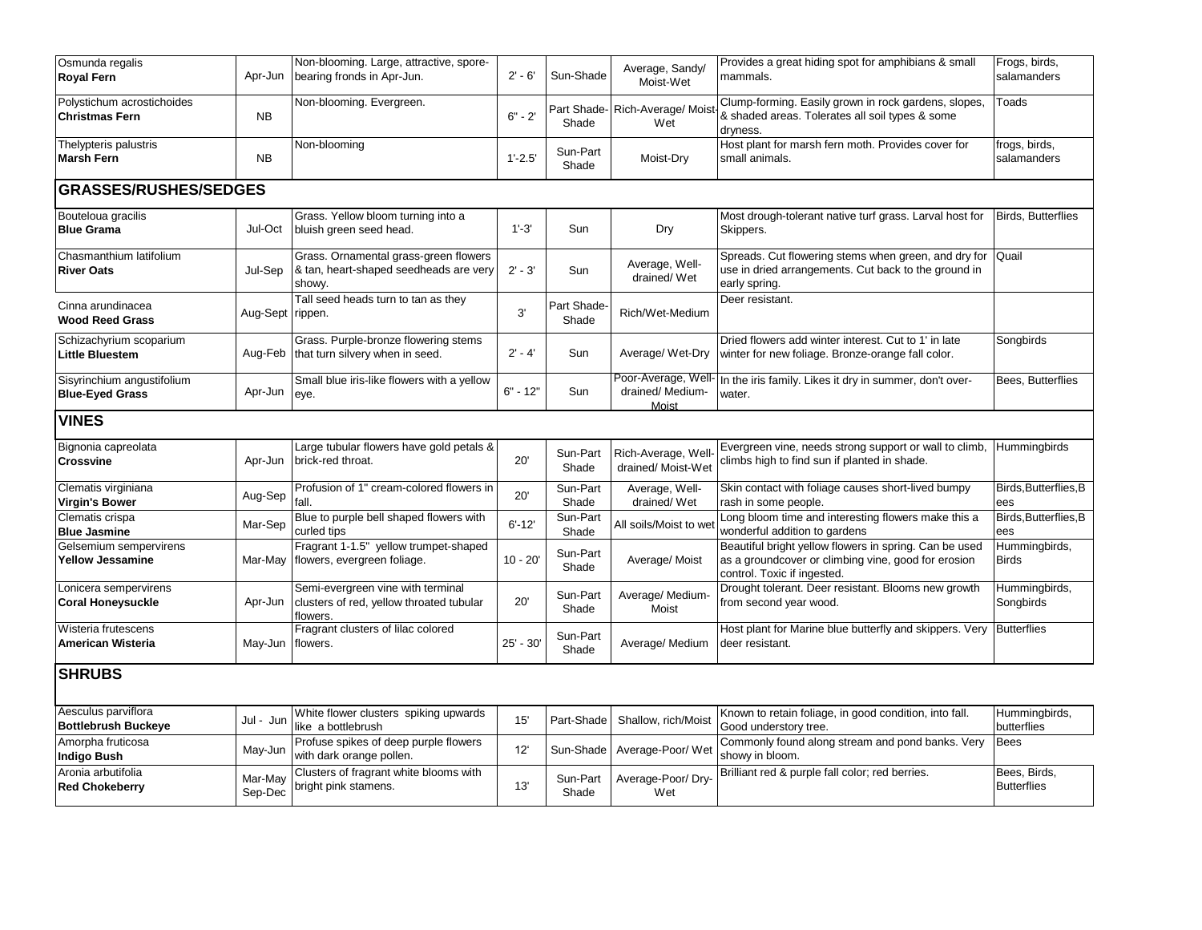| Osmunda regalis<br><b>Royal Fern</b>                 | Apr-Jun            | Non-blooming. Large, attractive, spore-<br>bearing fronds in Apr-Jun.                     | $2' - 6'$    | Sun-Shade            | Average, Sandy/<br>Moist-Wet                     | Provides a great hiding spot for amphibians & small<br>mammals.                                                                              | Frogs, birds,<br>salamanders       |  |  |  |  |
|------------------------------------------------------|--------------------|-------------------------------------------------------------------------------------------|--------------|----------------------|--------------------------------------------------|----------------------------------------------------------------------------------------------------------------------------------------------|------------------------------------|--|--|--|--|
| Polystichum acrostichoides<br><b>Christmas Fern</b>  | <b>NB</b>          | Non-blooming. Evergreen.                                                                  | $6" - 2'$    | Shade                | Part Shade-Rich-Average/Mois<br>Wet              | Clump-forming. Easily grown in rock gardens, slopes,<br>& shaded areas. Tolerates all soil types & some<br>dryness.                          | Toads                              |  |  |  |  |
| Thelypteris palustris<br><b>Marsh Fern</b>           | NB                 | Non-blooming                                                                              | $1'-2.5'$    | Sun-Part<br>Shade    | Moist-Dry                                        | Host plant for marsh fern moth. Provides cover for<br>small animals.                                                                         | frogs, birds,<br>salamanders       |  |  |  |  |
| <b>GRASSES/RUSHES/SEDGES</b>                         |                    |                                                                                           |              |                      |                                                  |                                                                                                                                              |                                    |  |  |  |  |
| Bouteloua gracilis<br><b>Blue Grama</b>              | Jul-Oct            | Grass. Yellow bloom turning into a<br>bluish green seed head.                             | $1'-3'$      | Sun                  | Dry                                              | Most drough-tolerant native turf grass. Larval host for<br>Skippers.                                                                         | <b>Birds, Butterflies</b>          |  |  |  |  |
| Chasmanthium latifolium<br><b>River Oats</b>         | Jul-Sep            | Grass. Ornamental grass-green flowers<br>& tan, heart-shaped seedheads are very<br>showy. | $2' - 3'$    | Sun                  | Average, Well-<br>drained/Wet                    | Spreads. Cut flowering stems when green, and dry for<br>use in dried arrangements. Cut back to the ground in<br>early spring.                | Quail                              |  |  |  |  |
| Cinna arundinacea<br><b>Wood Reed Grass</b>          | Aug-Sept rippen.   | Tall seed heads turn to tan as they                                                       | 3'           | Part Shade-<br>Shade | Rich/Wet-Medium                                  | Deer resistant.                                                                                                                              |                                    |  |  |  |  |
| Schizachyrium scoparium<br>Little Bluestem           | Aug-Feb            | Grass. Purple-bronze flowering stems<br>that turn silvery when in seed.                   | $2' - 4'$    | Sun                  | Average/Wet-Dry                                  | Dried flowers add winter interest. Cut to 1' in late<br>winter for new foliage. Bronze-orange fall color.                                    | Songbirds                          |  |  |  |  |
| Sisyrinchium angustifolium<br><b>Blue-Eyed Grass</b> | Apr-Jun            | Small blue iris-like flowers with a yellow<br>eye.                                        | $6" - 12"$   | Sun                  | Poor-Average, Well-<br>drained/ Medium-<br>Moist | In the iris family. Likes it dry in summer, don't over-<br>water.                                                                            | Bees, Butterflies                  |  |  |  |  |
| <b>VINES</b>                                         |                    |                                                                                           |              |                      |                                                  |                                                                                                                                              |                                    |  |  |  |  |
| Bignonia capreolata<br><b>Crossvine</b>              | Apr-Jun            | Large tubular flowers have gold petals &<br>brick-red throat.                             | 20'          | Sun-Part<br>Shade    | Rich-Average, Well<br>drained/ Moist-Wet         | Evergreen vine, needs strong support or wall to climb,<br>climbs high to find sun if planted in shade.                                       | Hummingbirds                       |  |  |  |  |
| Clematis virginiana<br>Virgin's Bower                | Aug-Sep            | Profusion of 1" cream-colored flowers in<br>fall.                                         | 20'          | Sun-Part<br>Shade    | Average, Well-<br>drained/Wet                    | Skin contact with foliage causes short-lived bumpy<br>rash in some people.                                                                   | Birds, Butterflies, B<br>ees       |  |  |  |  |
| Clematis crispa<br><b>Blue Jasmine</b>               | Mar-Sep            | Blue to purple bell shaped flowers with<br>curled tips                                    | $6' - 12'$   | Sun-Part<br>Shade    | All soils/Moist to we                            | Long bloom time and interesting flowers make this a<br>wonderful addition to gardens                                                         | Birds, Butterflies, B<br>ees       |  |  |  |  |
| Gelsemium sempervirens<br>Yellow Jessamine           | Mar-May            | Fragrant 1-1.5" yellow trumpet-shaped<br>flowers, evergreen foliage.                      | $10 - 20'$   | Sun-Part<br>Shade    | Average/Moist                                    | Beautiful bright yellow flowers in spring. Can be used<br>as a groundcover or climbing vine, good for erosion<br>control. Toxic if ingested. | Hummingbirds,<br><b>Birds</b>      |  |  |  |  |
| Lonicera sempervirens<br><b>Coral Honeysuckle</b>    | Apr-Jun            | Semi-evergreen vine with terminal<br>clusters of red, yellow throated tubular<br>flowers. | 20'          | Sun-Part<br>Shade    | Average/ Medium-<br>Moist                        | Drought tolerant. Deer resistant. Blooms new growth<br>from second year wood.                                                                | Hummingbirds,<br>Songbirds         |  |  |  |  |
| Wisteria frutescens<br>American Wisteria             | May-Jun            | Fragrant clusters of lilac colored<br>flowers.                                            | $25' - 30'$  | Sun-Part<br>Shade    | Average/ Medium                                  | Host plant for Marine blue butterfly and skippers. Very<br>deer resistant.                                                                   | <b>Butterflies</b>                 |  |  |  |  |
| <b>SHRUBS</b>                                        |                    |                                                                                           |              |                      |                                                  |                                                                                                                                              |                                    |  |  |  |  |
| Aesculus parviflora<br><b>Bottlebrush Buckeye</b>    | Jul - Jun          | White flower clusters spiking upwards<br>like a bottlebrush                               | 15'          | Part-Shade           | Shallow, rich/Moist                              | Known to retain foliage, in good condition, into fall.<br>Good understory tree.                                                              | Hummingbirds,<br>butterflies       |  |  |  |  |
| Amorpha fruticosa<br><b>Indigo Bush</b>              | May-Jun            | Profuse spikes of deep purple flowers<br>with dark orange pollen.                         | $12^{\circ}$ | Sun-Shade            | Average-Poor/We                                  | Commonly found along stream and pond banks. Very<br>showy in bloom.                                                                          | <b>Bees</b>                        |  |  |  |  |
| Aronia arbutifolia<br><b>Red Chokeberry</b>          | Mar-May<br>Sep-Dec | Clusters of fragrant white blooms with<br>bright pink stamens.                            | 13'          | Sun-Part<br>Shade    | Average-Poor/Dry-<br>Wet                         | Brilliant red & purple fall color; red berries.                                                                                              | Bees, Birds,<br><b>Butterflies</b> |  |  |  |  |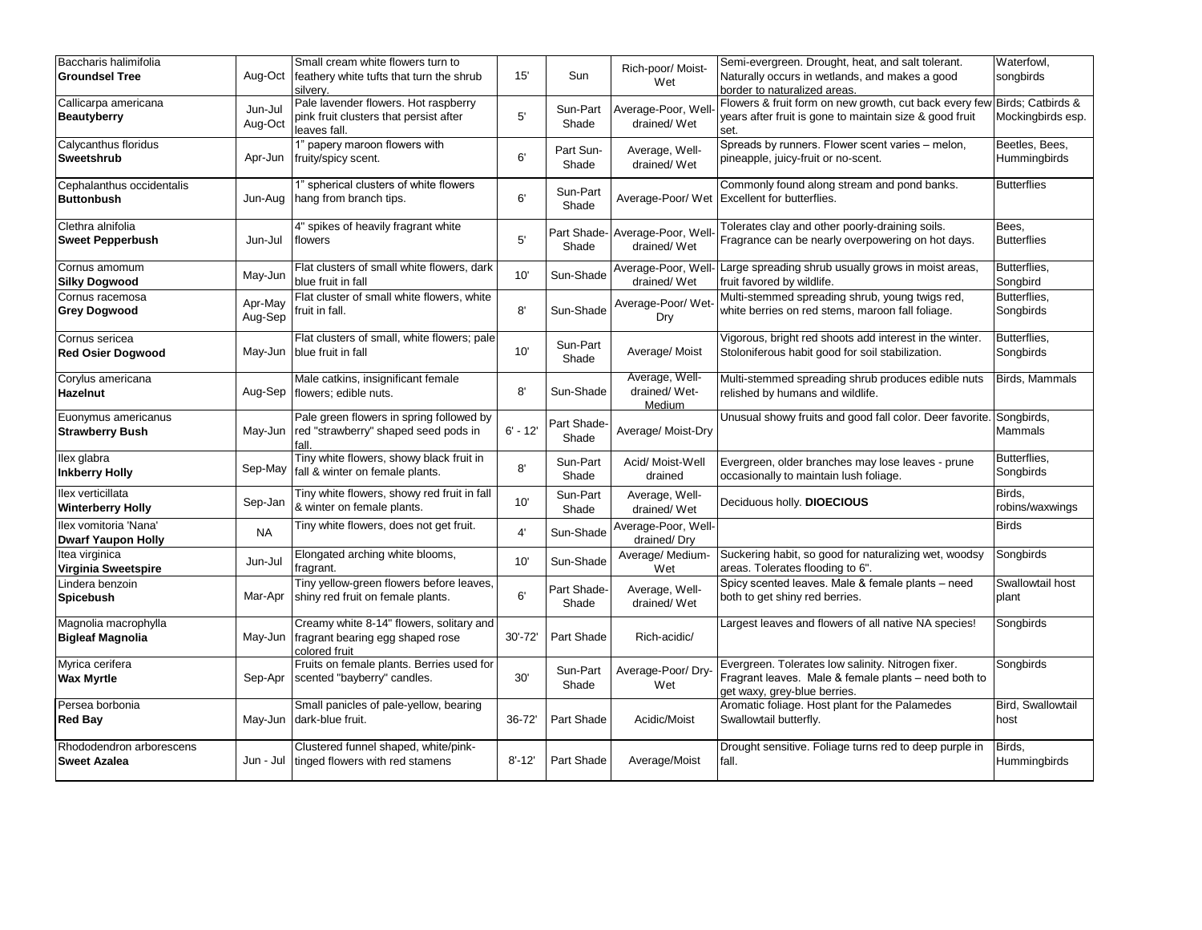| Baccharis halimifolia<br><b>Groundsel Tree</b>     | Aug-Oct            | Small cream white flowers turn to<br>feathery white tufts that turn the shrub<br>silverv.      | 15'         | Sun                  | Rich-poor/ Moist-<br>Wet                     | Semi-evergreen. Drought, heat, and salt tolerant.<br>Naturally occurs in wetlands, and makes a good<br>border to naturalized areas.         | Waterfowl,<br>songbirds        |
|----------------------------------------------------|--------------------|------------------------------------------------------------------------------------------------|-------------|----------------------|----------------------------------------------|---------------------------------------------------------------------------------------------------------------------------------------------|--------------------------------|
| Callicarpa americana<br><b>Beautyberry</b>         | Jun-Jul<br>Aug-Oct | Pale lavender flowers. Hot raspberry<br>pink fruit clusters that persist after<br>leaves fall. | 5'          | Sun-Part<br>Shade    | Average-Poor, Well<br>drained/Wet            | Flowers & fruit form on new growth, cut back every few Birds; Catbirds &<br>years after fruit is gone to maintain size & good fruit<br>set. | Mockingbirds esp.              |
| Calycanthus floridus<br>Sweetshrub                 | Apr-Jun            | 1" papery maroon flowers with<br>fruity/spicy scent.                                           | 6'          | Part Sun-<br>Shade   | Average, Well-<br>drained/Wet                | Spreads by runners. Flower scent varies - melon,<br>pineapple, juicy-fruit or no-scent.                                                     | Beetles, Bees,<br>Hummingbirds |
| Cephalanthus occidentalis<br><b>Buttonbush</b>     | Jun-Aug            | 1" spherical clusters of white flowers<br>hang from branch tips.                               | 6'          | Sun-Part<br>Shade    |                                              | Commonly found along stream and pond banks.<br>Average-Poor/ Wet Excellent for butterflies.                                                 | <b>Butterflies</b>             |
| Clethra alnifolia<br><b>Sweet Pepperbush</b>       | Jun-Jul            | 4" spikes of heavily fragrant white<br>flowers                                                 | 5'          | Shade                | Part Shade-Average-Poor, Well<br>drained/Wet | Tolerates clay and other poorly-draining soils.<br>Fragrance can be nearly overpowering on hot days.                                        | Bees.<br><b>Butterflies</b>    |
| Cornus amomum<br><b>Silky Dogwood</b>              | May-Jun            | Flat clusters of small white flowers, dark<br>blue fruit in fall                               | 10'         | Sun-Shade            | drained/Wet                                  | Average-Poor, Well- Large spreading shrub usually grows in moist areas,<br>fruit favored by wildlife.                                       | Butterflies,<br>Songbird       |
| Cornus racemosa<br><b>Grey Dogwood</b>             | Apr-May<br>Aug-Sep | Flat cluster of small white flowers, white<br>fruit in fall.                                   | 8'          | Sun-Shade            | Average-Poor/ Wet<br>Dry                     | Multi-stemmed spreading shrub, young twigs red,<br>white berries on red stems, maroon fall foliage.                                         | Butterflies,<br>Songbirds      |
| Cornus sericea<br><b>Red Osier Dogwood</b>         | May-Jun            | Flat clusters of small, white flowers; pale<br>blue fruit in fall                              | 10'         | Sun-Part<br>Shade    | Average/Moist                                | Vigorous, bright red shoots add interest in the winter.<br>Stoloniferous habit good for soil stabilization.                                 | Butterflies,<br>Songbirds      |
| Corylus americana<br>Hazelnut                      | Aug-Sep            | Male catkins, insignificant female<br>flowers; edible nuts.                                    | 8'          | Sun-Shade            | Average, Well-<br>drained/Wet-<br>Medium     | Multi-stemmed spreading shrub produces edible nuts<br>relished by humans and wildlife.                                                      | Birds, Mammals                 |
| Euonymus americanus<br><b>Strawberry Bush</b>      | May-Jun            | Pale green flowers in spring followed by<br>red "strawberry" shaped seed pods in<br>fall.      | $6' - 12'$  | Part Shade-<br>Shade | Average/ Moist-Dry                           | Unusual showy fruits and good fall color. Deer favorite.                                                                                    | Songbirds,<br>Mammals          |
| llex glabra<br><b>Inkberry Holly</b>               | Sep-May            | Tiny white flowers, showy black fruit in<br>fall & winter on female plants.                    | 8'          | Sun-Part<br>Shade    | Acid/ Moist-Well<br>drained                  | Evergreen, older branches may lose leaves - prune<br>occasionally to maintain lush foliage.                                                 | Butterflies,<br>Songbirds      |
| llex verticillata<br><b>Winterberry Holly</b>      | Sep-Jan            | Tiny white flowers, showy red fruit in fall<br>& winter on female plants.                      | 10'         | Sun-Part<br>Shade    | Average, Well-<br>drained/Wet                | Deciduous holly. DIOECIOUS                                                                                                                  | Birds,<br>robins/waxwings      |
| Ilex vomitoria 'Nana'<br><b>Dwarf Yaupon Holly</b> | <b>NA</b>          | Tiny white flowers, does not get fruit.                                                        | 4'          | Sun-Shade            | Average-Poor, Well-<br>drained/Dry           |                                                                                                                                             | <b>Birds</b>                   |
| Itea virginica<br>Virginia Sweetspire              | Jun-Jul            | Elongated arching white blooms,<br>fragrant.                                                   | 10'         | Sun-Shade            | Average/Medium-<br>Wet                       | Suckering habit, so good for naturalizing wet, woodsy<br>areas. Tolerates flooding to 6".                                                   | Songbirds                      |
| Lindera benzoin<br>Spicebush                       | Mar-Apr            | Tiny yellow-green flowers before leaves,<br>shiny red fruit on female plants.                  | 6'          | Part Shade-<br>Shade | Average, Well-<br>drained/Wet                | Spicy scented leaves. Male & female plants - need<br>both to get shiny red berries.                                                         | Swallowtail host<br>plant      |
| Magnolia macrophylla<br><b>Bigleaf Magnolia</b>    | May-Jun            | Creamy white 8-14" flowers, solitary and<br>fragrant bearing egg shaped rose<br>colored fruit  | $30' - 72'$ | Part Shade           | Rich-acidic/                                 | Largest leaves and flowers of all native NA species!                                                                                        | Songbirds                      |
| Myrica cerifera<br><b>Wax Myrtle</b>               | Sep-Apr            | Fruits on female plants. Berries used for<br>scented "bayberry" candles.                       | 30'         | Sun-Part<br>Shade    | Average-Poor/Dry-<br>Wet                     | Evergreen. Tolerates low salinity. Nitrogen fixer.<br>Fragrant leaves. Male & female plants - need both to<br>get waxy, grey-blue berries.  | Songbirds                      |
| Persea borbonia<br><b>Red Bay</b>                  | May-Jun            | Small panicles of pale-yellow, bearing<br>dark-blue fruit.                                     | 36-72'      | Part Shade           | Acidic/Moist                                 | Aromatic foliage. Host plant for the Palamedes<br>Swallowtail butterfly.                                                                    | Bird, Swallowtail<br>host      |
| Rhododendron arborescens<br><b>Sweet Azalea</b>    | Jun - Jul          | Clustered funnel shaped, white/pink-<br>tinged flowers with red stamens                        | $8' - 12'$  | Part Shade           | Average/Moist                                | Drought sensitive. Foliage turns red to deep purple in<br>fall.                                                                             | Birds,<br>Hummingbirds         |